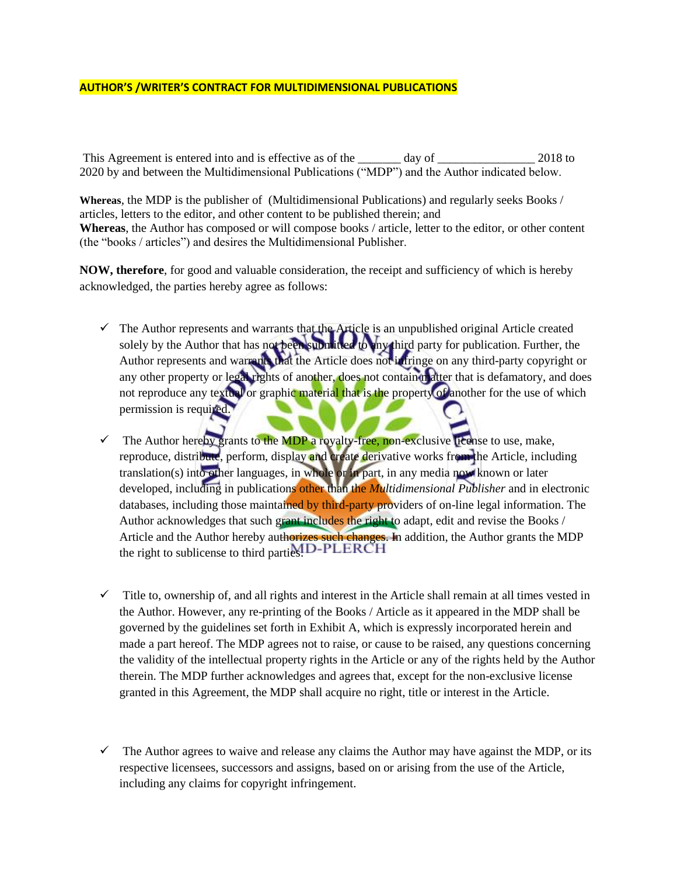## **AUTHOR'S /WRITER'S CONTRACT FOR MULTIDIMENSIONAL PUBLICATIONS**

This Agreement is entered into and is effective as of the \_\_\_\_\_\_ day of \_\_\_\_\_\_\_\_\_\_\_\_\_\_\_\_\_\_ 2018 to 2020 by and between the Multidimensional Publications ("MDP") and the Author indicated below.

**Whereas**, the MDP is the publisher of (Multidimensional Publications) and regularly seeks Books / articles, letters to the editor, and other content to be published therein; and **Whereas**, the Author has composed or will compose books / article, letter to the editor, or other content (the "books / articles") and desires the Multidimensional Publisher.

**NOW, therefore**, for good and valuable consideration, the receipt and sufficiency of which is hereby acknowledged, the parties hereby agree as follows:

- $\checkmark$  The Author represents and warrants that the Article is an unpublished original Article created solely by the Author that has not been submitted to any third party for publication. Further, the Author represents and warrants that the Article does not infringe on any third-party copyright or any other property or legal rights of another, does not contain matter that is defamatory, and does not reproduce any textual or graphic material that is the property of another for the use of which permission is required.
- $\checkmark$  The Author hereby grants to the MDP a royalty-free, non-exclusive license to use, make, reproduce, distribute, perform, display and create derivative works from the Article, including translation(s) into other languages, in whole or in part, in any media now known or later developed, including in publications other than the *Multidimensional Publisher* and in electronic databases, including those maintained by third-party providers of on-line legal information. The Author acknowledges that such grant includes the right to adapt, edit and revise the Books / Article and the Author hereby authorizes such changes. In addition, the Author grants the MDP the right to sublicense to third parties. **ID-PLERCH**
- $\checkmark$  Title to, ownership of, and all rights and interest in the Article shall remain at all times vested in the Author. However, any re-printing of the Books / Article as it appeared in the MDP shall be governed by the guidelines set forth in Exhibit A, which is expressly incorporated herein and made a part hereof. The MDP agrees not to raise, or cause to be raised, any questions concerning the validity of the intellectual property rights in the Article or any of the rights held by the Author therein. The MDP further acknowledges and agrees that, except for the non-exclusive license granted in this Agreement, the MDP shall acquire no right, title or interest in the Article.
- $\checkmark$  The Author agrees to waive and release any claims the Author may have against the MDP, or its respective licensees, successors and assigns, based on or arising from the use of the Article, including any claims for copyright infringement.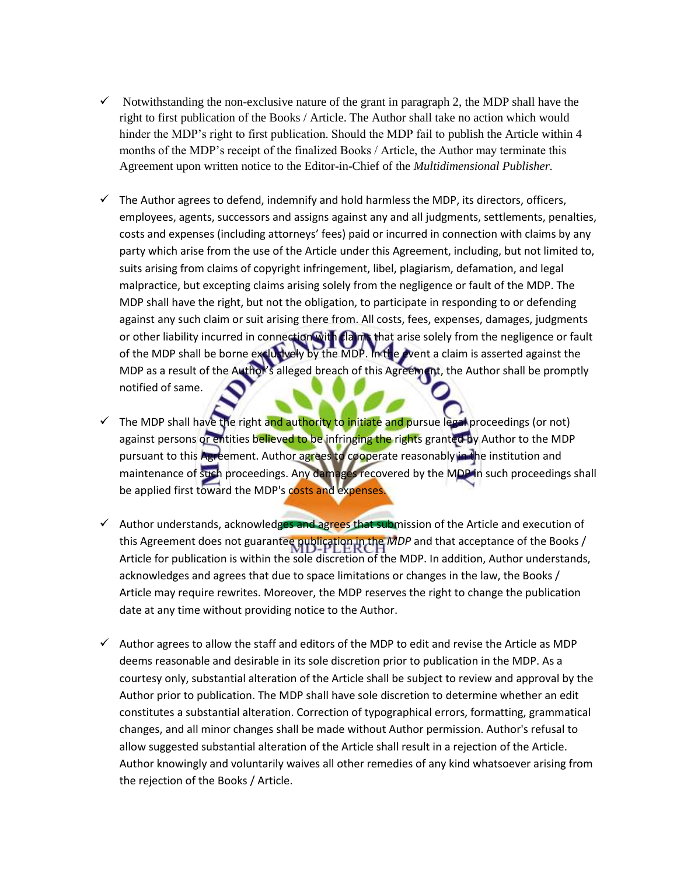- $\checkmark$  Notwithstanding the non-exclusive nature of the grant in paragraph 2, the MDP shall have the right to first publication of the Books / Article. The Author shall take no action which would hinder the MDP's right to first publication. Should the MDP fail to publish the Article within 4 months of the MDP's receipt of the finalized Books / Article, the Author may terminate this Agreement upon written notice to the Editor-in-Chief of the *Multidimensional Publisher.*
- $\checkmark$  The Author agrees to defend, indemnify and hold harmless the MDP, its directors, officers, employees, agents, successors and assigns against any and all judgments, settlements, penalties, costs and expenses (including attorneys' fees) paid or incurred in connection with claims by any party which arise from the use of the Article under this Agreement, including, but not limited to, suits arising from claims of copyright infringement, libel, plagiarism, defamation, and legal malpractice, but excepting claims arising solely from the negligence or fault of the MDP. The MDP shall have the right, but not the obligation, to participate in responding to or defending against any such claim or suit arising there from. All costs, fees, expenses, damages, judgments or other liability incurred in connection with claims that arise solely from the negligence or fault of the MDP shall be borne exclusively by the MDP. In the event a claim is asserted against the MDP as a result of the Author's alleged breach of this Agreement, the Author shall be promptly notified of same.
- $\checkmark$  The MDP shall have the right and authority to initiate and pursue legal proceedings (or not) against persons or entities believed to be infringing the rights granted by Author to the MDP pursuant to this Agreement. Author agrees to cooperate reasonably in the institution and maintenance of such proceedings. Any damages recovered by the MDP in such proceedings shall be applied first toward the MDP's costs and expenses
- $\checkmark$  Author understands, acknowledges and agrees that submission of the Article and execution of this Agreement does not guarantee publication in the *MDP* and that acceptance of the Books / Article for publication is within the sole discretion of the MDP. In addition, Author understands, acknowledges and agrees that due to space limitations or changes in the law, the Books / Article may require rewrites. Moreover, the MDP reserves the right to change the publication date at any time without providing notice to the Author.
- $\checkmark$  Author agrees to allow the staff and editors of the MDP to edit and revise the Article as MDP deems reasonable and desirable in its sole discretion prior to publication in the MDP. As a courtesy only, substantial alteration of the Article shall be subject to review and approval by the Author prior to publication. The MDP shall have sole discretion to determine whether an edit constitutes a substantial alteration. Correction of typographical errors, formatting, grammatical changes, and all minor changes shall be made without Author permission. Author's refusal to allow suggested substantial alteration of the Article shall result in a rejection of the Article. Author knowingly and voluntarily waives all other remedies of any kind whatsoever arising from the rejection of the Books / Article.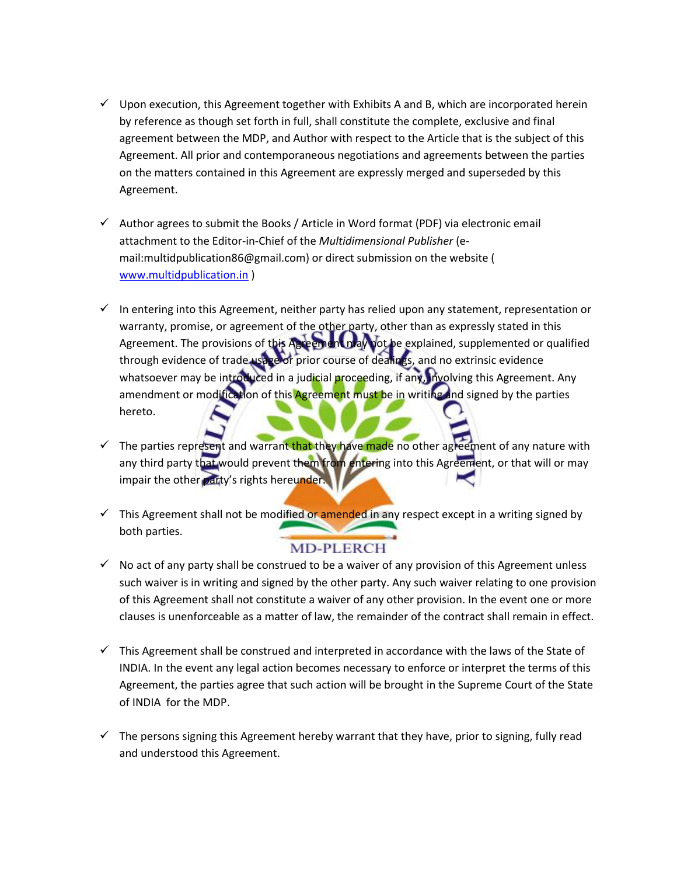- $\checkmark$  Upon execution, this Agreement together with Exhibits A and B, which are incorporated herein by reference as though set forth in full, shall constitute the complete, exclusive and final agreement between the MDP, and Author with respect to the Article that is the subject of this Agreement. All prior and contemporaneous negotiations and agreements between the parties on the matters contained in this Agreement are expressly merged and superseded by this Agreement.
- $\checkmark$  Author agrees to submit the Books / Article in Word format (PDF) via electronic email attachment to the Editor-in-Chief of the *Multidimensional Publisher* (email:multidpublication86@gmail.com) or direct submission on the website ( [www.multidpublication.in](http://www.multidpublication.in/) )
- $\checkmark$  In entering into this Agreement, neither party has relied upon any statement, representation or warranty, promise, or agreement of the other party, other than as expressly stated in this Agreement. The provisions of this Agreement may not be explained, supplemented or qualified through evidence of trade usage or prior course of dealings, and no extrinsic evidence whatsoever may be introduced in a judicial proceeding, if any, involving this Agreement. Any amendment or modification of this Agreement must be in writing and signed by the parties hereto.
- $\checkmark$  The parties represent and warrant that they have made no other agreement of any nature with any third party that would prevent them from entering into this Agreement, or that will or may impair the other party's rights hereunder.
- $\checkmark$  This Agreement shall not be modified or amended in any respect except in a writing signed by both parties.

## **MD-PLERCH**

- $\checkmark$  No act of any party shall be construed to be a waiver of any provision of this Agreement unless such waiver is in writing and signed by the other party. Any such waiver relating to one provision of this Agreement shall not constitute a waiver of any other provision. In the event one or more clauses is unenforceable as a matter of law, the remainder of the contract shall remain in effect.
- $\checkmark$  This Agreement shall be construed and interpreted in accordance with the laws of the State of INDIA. In the event any legal action becomes necessary to enforce or interpret the terms of this Agreement, the parties agree that such action will be brought in the Supreme Court of the State of INDIA for the MDP.
- $\checkmark$  The persons signing this Agreement hereby warrant that they have, prior to signing, fully read and understood this Agreement.